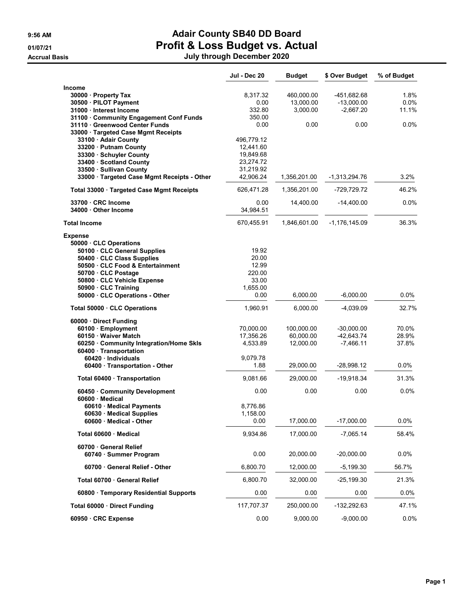## 9:56 AM **Adair County SB40 DD Board** 01/07/21 **Profit & Loss Budget vs. Actual**

Accrual Basis July through December 2020

|                                                      | Jul - Dec 20 | <b>Budget</b> | \$ Over Budget  | % of Budget |
|------------------------------------------------------|--------------|---------------|-----------------|-------------|
| Income                                               |              |               |                 |             |
| 30000 Property Tax                                   | 8,317.32     | 460,000.00    | -451,682.68     | 1.8%        |
| 30500 · PILOT Payment                                | 0.00         | 13,000.00     | $-13,000.00$    | $0.0\%$     |
| 31000 Interest Income                                | 332.80       | 3,000.00      | $-2,667.20$     | 11.1%       |
| 31100 Community Engagement Conf Funds                | 350.00       |               |                 |             |
| 31110 Greenwood Center Funds                         | 0.00         | 0.00          | 0.00            | $0.0\%$     |
| 33000 · Targeted Case Mgmt Receipts                  |              |               |                 |             |
| 33100 · Adair County                                 | 496,779.12   |               |                 |             |
| 33200 · Putnam County                                | 12,441.60    |               |                 |             |
| 33300 · Schuyler County                              | 19,849.68    |               |                 |             |
| 33400 · Scotland County                              | 23,274.72    |               |                 |             |
| 33500 · Sullivan County                              | 31,219.92    | 1,356,201.00  |                 | 3.2%        |
| 33000 · Targeted Case Mgmt Receipts - Other          | 42,906.24    |               | $-1,313,294.76$ |             |
| Total 33000 · Targeted Case Mgmt Receipts            | 626,471.28   | 1,356,201.00  | -729,729.72     | 46.2%       |
| 33700 CRC Income                                     | 0.00         | 14,400.00     | $-14,400.00$    | $0.0\%$     |
| 34000 Other Income                                   | 34,984.51    |               |                 |             |
| <b>Total Income</b>                                  | 670,455.91   | 1,846,601.00  | -1,176,145.09   | 36.3%       |
| <b>Expense</b>                                       |              |               |                 |             |
| 50000 · CLC Operations<br>50100 CLC General Supplies | 19.92        |               |                 |             |
| 50400 · CLC Class Supplies                           | 20.00        |               |                 |             |
| 50500 CLC Food & Entertainment                       | 12.99        |               |                 |             |
| 50700 · CLC Postage                                  | 220.00       |               |                 |             |
| 50800 · CLC Vehicle Expense                          | 33.00        |               |                 |             |
| 50900 · CLC Training                                 | 1.655.00     |               |                 |             |
| 50000 · CLC Operations - Other                       | 0.00         | 6,000.00      | $-6,000.00$     | $0.0\%$     |
| Total 50000 CLC Operations                           | 1,960.91     | 6,000.00      | -4,039.09       | 32.7%       |
| 60000 Direct Funding                                 |              |               |                 |             |
| 60100 · Employment                                   | 70,000.00    | 100,000.00    | $-30,000.00$    | 70.0%       |
| 60150 · Waiver Match                                 | 17,356.26    | 60,000.00     | $-42,643.74$    | 28.9%       |
| 60250 Community Integration/Home Skls                | 4,533.89     | 12,000.00     | $-7,466.11$     | 37.8%       |
| 60400 · Transportation                               |              |               |                 |             |
| 60420 Individuals                                    | 9,079.78     |               |                 |             |
| 60400 · Transportation - Other                       | 1.88         | 29,000.00     | -28,998.12      | $0.0\%$     |
| Total 60400 Transportation                           | 9,081.66     | 29,000.00     | -19,918.34      | 31.3%       |
| 60450 Community Development<br>60600 · Medical       | 0.00         | 0.00          | 0.00            | $0.0\%$     |
| 60610 · Medical Payments                             | 8,776.86     |               |                 |             |
| 60630 · Medical Supplies                             | 1,158.00     |               |                 |             |
| $60600 \cdot$ Medical - Other                        | 0.00         | 17,000.00     | -17,000.00      | 0.0%        |
| Total 60600 · Medical                                | 9,934.86     | 17,000.00     | $-7,065.14$     | 58.4%       |
| 60700 · General Relief                               |              |               |                 |             |
| 60740 · Summer Program                               | 0.00         | 20,000.00     | $-20,000.00$    | 0.0%        |
| 60700 · General Relief - Other                       | 6,800.70     | 12,000.00     | $-5,199.30$     | 56.7%       |
| Total 60700 · General Relief                         | 6,800.70     | 32,000.00     | $-25,199.30$    | 21.3%       |
| 60800 · Temporary Residential Supports               | 0.00         | 0.00          | 0.00            | 0.0%        |
| Total 60000 · Direct Funding                         | 117,707.37   | 250,000.00    | $-132,292.63$   | 47.1%       |
| 60950 · CRC Expense                                  | 0.00         | 9,000.00      | $-9,000.00$     | 0.0%        |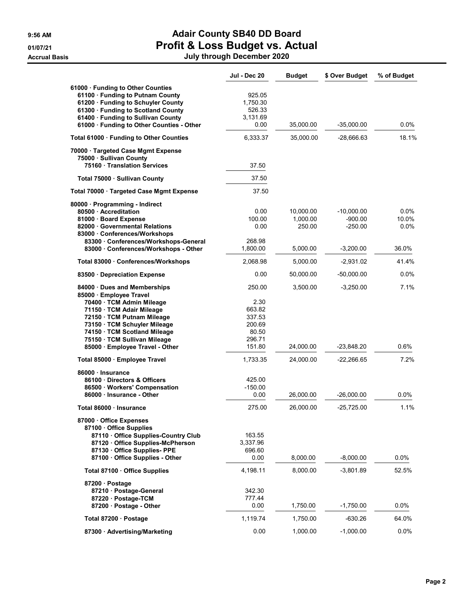# 9:56 AM **Adair County SB40 DD Board** 01/07/21 **Profit & Loss Budget vs. Actual**

Accrual Basis July through December 2020

|                                                                                                                                                                                                                                                 | Jul - Dec 20                                                    | <b>Budget</b>                               | \$ Over Budget                                        | % of Budget                    |
|-------------------------------------------------------------------------------------------------------------------------------------------------------------------------------------------------------------------------------------------------|-----------------------------------------------------------------|---------------------------------------------|-------------------------------------------------------|--------------------------------|
| 61000 · Funding to Other Counties<br>61100 · Funding to Putnam County<br>61200 · Funding to Schuyler County<br>61300 · Funding to Scotland County<br>61400 · Funding to Sullivan County<br>61000 · Funding to Other Counties - Other            | 925.05<br>1,750.30<br>526.33<br>3,131.69<br>0.00                | 35,000.00                                   | $-35,000.00$                                          | 0.0%                           |
| Total 61000 · Funding to Other Counties                                                                                                                                                                                                         | 6,333.37                                                        | 35,000.00                                   | -28,666.63                                            | 18.1%                          |
| 70000 Targeted Case Mgmt Expense<br>75000 · Sullivan County<br>75160 Translation Services                                                                                                                                                       | 37.50                                                           |                                             |                                                       |                                |
| Total 75000 · Sullivan County                                                                                                                                                                                                                   | 37.50                                                           |                                             |                                                       |                                |
| Total 70000 · Targeted Case Mgmt Expense                                                                                                                                                                                                        | 37.50                                                           |                                             |                                                       |                                |
| 80000 · Programming - Indirect<br>80500 Accreditation<br>81000 · Board Expense<br>82000 · Governmental Relations<br>83000 Conferences/Workshops<br>83300 · Conferences/Workshops-General<br>83000 Conferences/Workshops - Other                 | 0.00<br>100.00<br>0.00<br>268.98<br>1,800.00                    | 10,000.00<br>1,000.00<br>250.00<br>5,000.00 | $-10,000.00$<br>$-900.00$<br>$-250.00$<br>$-3,200.00$ | 0.0%<br>10.0%<br>0.0%<br>36.0% |
| Total 83000 Conferences/Workshops                                                                                                                                                                                                               | 2.068.98                                                        | 5,000.00                                    | $-2,931.02$                                           | 41.4%                          |
| 83500 · Depreciation Expense                                                                                                                                                                                                                    | 0.00                                                            | 50,000.00                                   | $-50,000.00$                                          | 0.0%                           |
| 84000 · Dues and Memberships<br>85000 · Employee Travel<br>70400 · TCM Admin Mileage<br>71150 · TCM Adair Mileage<br>72150 · TCM Putnam Mileage<br>73150 · TCM Schuyler Mileage<br>74150 · TCM Scotland Mileage<br>75150 · TCM Sullivan Mileage | 250.00<br>2.30<br>663.82<br>337.53<br>200.69<br>80.50<br>296.71 | 3,500.00                                    | $-3,250.00$                                           | 7.1%                           |
| 85000 · Employee Travel - Other                                                                                                                                                                                                                 | 151.80                                                          | 24,000.00                                   | -23,848.20                                            | 0.6%                           |
| Total 85000 · Employee Travel<br>86000 · Insurance<br>86100 Directors & Officers<br>86500 · Workers' Compensation<br>86000 · Insurance - Other                                                                                                  | 1,733.35<br>425.00<br>$-150.00$<br>0.00                         | 24,000.00<br>26,000.00                      | $-22,266.65$<br>$-26,000.00$                          | 7.2%<br>0.0%                   |
| Total 86000 · Insurance                                                                                                                                                                                                                         | 275.00                                                          | 26,000.00                                   | $-25,725.00$                                          | 1.1%                           |
| 87000 · Office Expenses<br>87100 Office Supplies<br>87110 Office Supplies-Country Club<br>87120 Office Supplies-McPherson<br>87130 Office Supplies- PPE<br>87100 · Office Supplies - Other                                                      | 163.55<br>3,337.96<br>696.60<br>0.00                            | 8,000.00                                    | $-8,000.00$                                           | 0.0%                           |
| Total 87100 · Office Supplies                                                                                                                                                                                                                   | 4,198.11                                                        | 8,000.00                                    | $-3,801.89$                                           | 52.5%                          |
| 87200 · Postage<br>87210 · Postage-General<br>87220 · Postage-TCM<br>87200 · Postage - Other                                                                                                                                                    | 342.30<br>777.44<br>0.00                                        | 1,750.00                                    | $-1,750.00$                                           | $0.0\%$                        |
| Total 87200 · Postage                                                                                                                                                                                                                           | 1,119.74                                                        | 1,750.00                                    | $-630.26$                                             | 64.0%                          |
| 87300 · Advertising/Marketing                                                                                                                                                                                                                   | 0.00                                                            | 1,000.00                                    | $-1,000.00$                                           | 0.0%                           |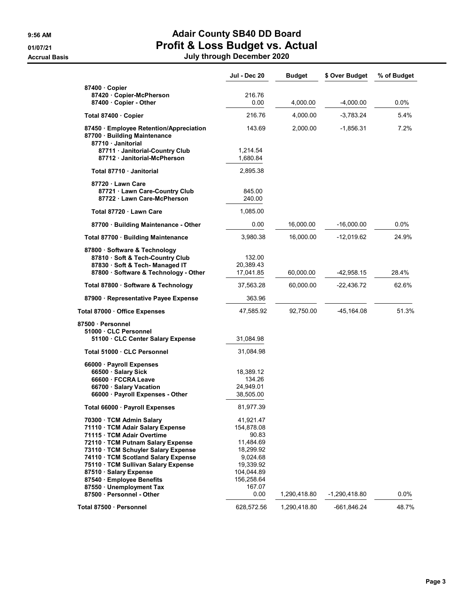### 9:56 AM **Adair County SB40 DD Board** 01/07/21 **Profit & Loss Budget vs. Actual**

Accrual Basis July through December 2020

|                                                                                                                                                                                                                                                                                                             | Jul - Dec 20                                                                                                    | <b>Budget</b> | \$ Over Budget | % of Budget |
|-------------------------------------------------------------------------------------------------------------------------------------------------------------------------------------------------------------------------------------------------------------------------------------------------------------|-----------------------------------------------------------------------------------------------------------------|---------------|----------------|-------------|
| 87400 Copier                                                                                                                                                                                                                                                                                                |                                                                                                                 |               |                |             |
| 87420 · Copier-McPherson<br>87400 · Copier - Other                                                                                                                                                                                                                                                          | 216.76<br>0.00                                                                                                  | 4,000.00      | -4,000.00      | $0.0\%$     |
| Total 87400 Copier                                                                                                                                                                                                                                                                                          | 216.76                                                                                                          | 4,000.00      | -3,783.24      | 5.4%        |
| 87450 · Employee Retention/Appreciation<br>87700 · Building Maintenance<br>87710 Janitorial                                                                                                                                                                                                                 | 143.69                                                                                                          | 2,000.00      | -1,856.31      | 7.2%        |
| 87711 · Janitorial-Country Club<br>87712 Janitorial-McPherson                                                                                                                                                                                                                                               | 1,214.54<br>1,680.84                                                                                            |               |                |             |
| Total 87710 Janitorial                                                                                                                                                                                                                                                                                      | 2,895.38                                                                                                        |               |                |             |
| 87720 Lawn Care<br>87721 · Lawn Care-Country Club<br>87722 Lawn Care-McPherson                                                                                                                                                                                                                              | 845.00<br>240.00                                                                                                |               |                |             |
| Total 87720 Lawn Care                                                                                                                                                                                                                                                                                       | 1,085.00                                                                                                        |               |                |             |
| 87700 · Building Maintenance - Other                                                                                                                                                                                                                                                                        | 0.00                                                                                                            | 16,000.00     | -16,000.00     | $0.0\%$     |
| Total 87700 · Building Maintenance                                                                                                                                                                                                                                                                          | 3,980.38                                                                                                        | 16,000.00     | -12,019.62     | 24.9%       |
| 87800 · Software & Technology<br>87810 · Soft & Tech-Country Club<br>87830 · Soft & Tech-Managed IT<br>87800 · Software & Technology - Other                                                                                                                                                                | 132.00<br>20,389.43<br>17,041.85                                                                                | 60,000.00     | -42,958.15     | 28.4%       |
| Total 87800 · Software & Technology                                                                                                                                                                                                                                                                         | 37,563.28                                                                                                       | 60,000.00     | -22,436.72     | 62.6%       |
| 87900 · Representative Payee Expense                                                                                                                                                                                                                                                                        | 363.96                                                                                                          |               |                |             |
| Total 87000 · Office Expenses                                                                                                                                                                                                                                                                               | 47,585.92                                                                                                       | 92,750.00     | -45,164.08     | 51.3%       |
| 87500 · Personnel<br>51000 CLC Personnel<br>51100 · CLC Center Salary Expense                                                                                                                                                                                                                               | 31,084.98                                                                                                       |               |                |             |
| Total 51000 CLC Personnel                                                                                                                                                                                                                                                                                   | 31,084.98                                                                                                       |               |                |             |
| 66000 · Payroll Expenses<br>66500 · Salary Sick<br>66600 · FCCRA Leave<br>66700 · Salary Vacation<br>66000 · Payroll Expenses - Other                                                                                                                                                                       | 18,389.12<br>134.26<br>24,949.01<br>38,505.00                                                                   |               |                |             |
| Total 66000 · Payroll Expenses                                                                                                                                                                                                                                                                              | 81,977.39                                                                                                       |               |                |             |
| 70300 · TCM Admin Salary<br>71110 · TCM Adair Salary Expense<br>71115 · TCM Adair Overtime<br>72110 · TCM Putnam Salary Expense<br>73110 · TCM Schuyler Salary Expense<br>74110 · TCM Scotland Salary Expense<br>75110 · TCM Sullivan Salary Expense<br>87510 · Salary Expense<br>87540 · Employee Benefits | 41,921.47<br>154,878.08<br>90.83<br>11,484.69<br>18,299.92<br>9,024.68<br>19,339.92<br>104,044.89<br>156,258.64 |               |                |             |
| 87550 · Unemployment Tax<br>87500 Personnel - Other                                                                                                                                                                                                                                                         | 167.07<br>0.00                                                                                                  | 1,290,418.80  | -1,290,418.80  | 0.0%        |
| Total 87500 · Personnel                                                                                                                                                                                                                                                                                     | 628,572.56                                                                                                      | 1,290,418.80  | -661,846.24    | 48.7%       |